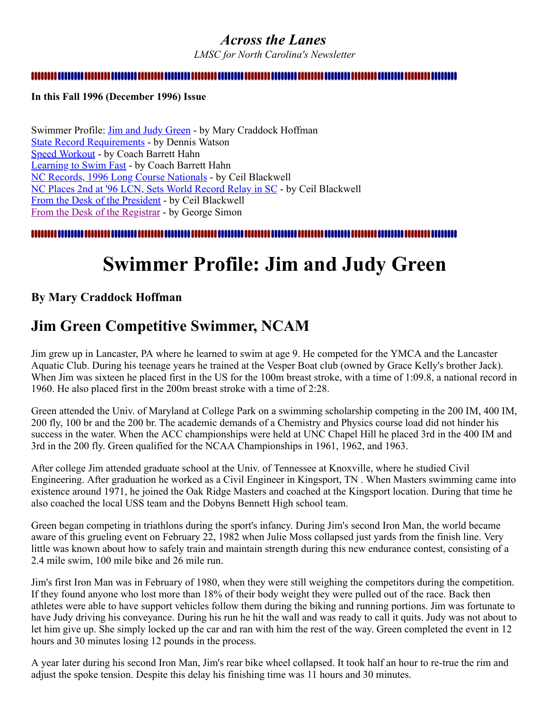### <span id="page-0-1"></span>*Across the Lanes*

*LMSC for North Carolina's Newsletter*

**In this Fall 1996 (December 1996) Issue**

Swimmer Profile: [Jim and Judy Green](#page-0-0) - by Mary Craddock Hoffman [State Record Requirements](#page-1-0) - by Dennis Watson [Speed Workout](#page-2-0) - by Coach Barrett Hahn [Learning to Swim Fast](#page-3-0) - by Coach Barrett Hahn [NC Records, 1996 Long Course Nationals](#page-4-0) - by Ceil Blackwell [NC Places 2nd at '96 LCN, Sets World Record Relay in SC](#page-5-0) - by Ceil Blackwell [From the Desk of the President](#page-6-0) - by Ceil Blackwell [From the Desk of the Registrar](#page-6-1) - by George Simon

<span id="page-0-0"></span>

# **Swimmer Profile: Jim and Judy Green**

### **By Mary Craddock Hoffman**

## **Jim Green Competitive Swimmer, NCAM**

Jim grew up in Lancaster, PA where he learned to swim at age 9. He competed for the YMCA and the Lancaster Aquatic Club. During his teenage years he trained at the Vesper Boat club (owned by Grace Kelly's brother Jack). When Jim was sixteen he placed first in the US for the 100m breast stroke, with a time of 1:09.8, a national record in 1960. He also placed first in the 200m breast stroke with a time of 2:28.

Green attended the Univ. of Maryland at College Park on a swimming scholarship competing in the 200 IM, 400 IM, 200 fly, 100 br and the 200 br. The academic demands of a Chemistry and Physics course load did not hinder his success in the water. When the ACC championships were held at UNC Chapel Hill he placed 3rd in the 400 IM and 3rd in the 200 fly. Green qualified for the NCAA Championships in 1961, 1962, and 1963.

After college Jim attended graduate school at the Univ. of Tennessee at Knoxville, where he studied Civil Engineering. After graduation he worked as a Civil Engineer in Kingsport, TN . When Masters swimming came into existence around 1971, he joined the Oak Ridge Masters and coached at the Kingsport location. During that time he also coached the local USS team and the Dobyns Bennett High school team.

Green began competing in triathlons during the sport's infancy. During Jim's second Iron Man, the world became aware of this grueling event on February 22, 1982 when Julie Moss collapsed just yards from the finish line. Very little was known about how to safely train and maintain strength during this new endurance contest, consisting of a 2.4 mile swim, 100 mile bike and 26 mile run.

Jim's first Iron Man was in February of 1980, when they were still weighing the competitors during the competition. If they found anyone who lost more than 18% of their body weight they were pulled out of the race. Back then athletes were able to have support vehicles follow them during the biking and running portions. Jim was fortunate to have Judy driving his conveyance. During his run he hit the wall and was ready to call it quits. Judy was not about to let him give up. She simply locked up the car and ran with him the rest of the way. Green completed the event in 12 hours and 30 minutes losing 12 pounds in the process.

A year later during his second Iron Man, Jim's rear bike wheel collapsed. It took half an hour to re-true the rim and adjust the spoke tension. Despite this delay his finishing time was 11 hours and 30 minutes.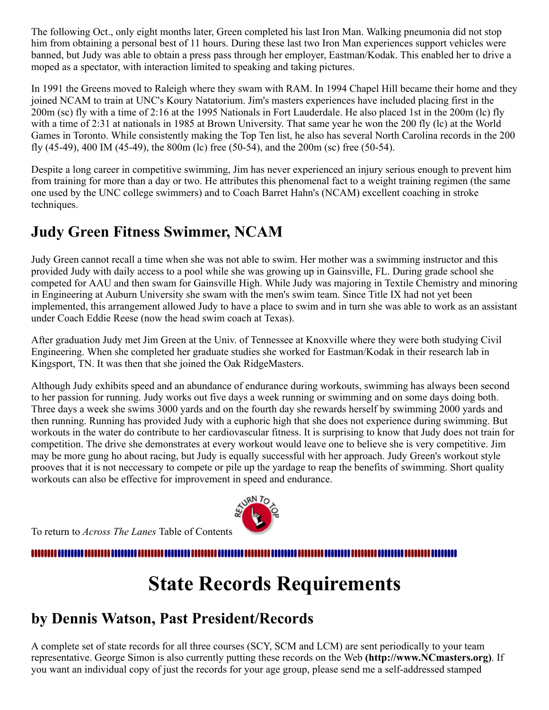The following Oct., only eight months later, Green completed his last Iron Man. Walking pneumonia did not stop him from obtaining a personal best of 11 hours. During these last two Iron Man experiences support vehicles were banned, but Judy was able to obtain a press pass through her employer, Eastman/Kodak. This enabled her to drive a moped as a spectator, with interaction limited to speaking and taking pictures.

In 1991 the Greens moved to Raleigh where they swam with RAM. In 1994 Chapel Hill became their home and they joined NCAM to train at UNC's Koury Natatorium. Jim's masters experiences have included placing first in the 200m (sc) fly with a time of 2:16 at the 1995 Nationals in Fort Lauderdale. He also placed 1st in the 200m (lc) fly with a time of 2:31 at nationals in 1985 at Brown University. That same year he won the 200 fly (lc) at the World Games in Toronto. While consistently making the Top Ten list, he also has several North Carolina records in the 200 fly (45-49), 400 IM (45-49), the 800m (lc) free (50-54), and the 200m (sc) free (50-54).

Despite a long career in competitive swimming, Jim has never experienced an injury serious enough to prevent him from training for more than a day or two. He attributes this phenomenal fact to a weight training regimen (the same one used by the UNC college swimmers) and to Coach Barret Hahn's (NCAM) excellent coaching in stroke techniques.

# **Judy Green Fitness Swimmer, NCAM**

Judy Green cannot recall a time when she was not able to swim. Her mother was a swimming instructor and this provided Judy with daily access to a pool while she was growing up in Gainsville, FL. During grade school she competed for AAU and then swam for Gainsville High. While Judy was majoring in Textile Chemistry and minoring in Engineering at Auburn University she swam with the men's swim team. Since Title IX had not yet been implemented, this arrangement allowed Judy to have a place to swim and in turn she was able to work as an assistant under Coach Eddie Reese (now the head swim coach at Texas).

After graduation Judy met Jim Green at the Univ. of Tennessee at Knoxville where they were both studying Civil Engineering. When she completed her graduate studies she worked for Eastman/Kodak in their research lab in Kingsport, TN. It was then that she joined the Oak RidgeMasters.

Although Judy exhibits speed and an abundance of endurance during workouts, swimming has always been second to her passion for running. Judy works out five days a week running or swimming and on some days doing both. Three days a week she swims 3000 yards and on the fourth day she rewards herself by swimming 2000 yards and then running. Running has provided Judy with a euphoric high that she does not experience during swimming. But workouts in the water do contribute to her cardiovascular fitness. It is surprising to know that Judy does not train for competition. The drive she demonstrates at every workout would leave one to believe she is very competitive. Jim may be more gung ho about racing, but Judy is equally successful with her approach. Judy Green's workout style prooves that it is not neccessary to compete or pile up the yardage to reap the benefits of swimming. Short quality workouts can also be effective for improvement in speed and endurance.

To return to *Across The Lanes* Table of Contents

<span id="page-1-0"></span>

# **State Records Requirements**

# **by Dennis Watson, Past President/Records**

A complete set of state records for all three courses (SCY, SCM and LCM) are sent periodically to your team representative. George Simon is also currently putting these records on the Web **(http://www.NCmasters.org)**. If you want an individual copy of just the records for your age group, please send me a self-addressed stamped

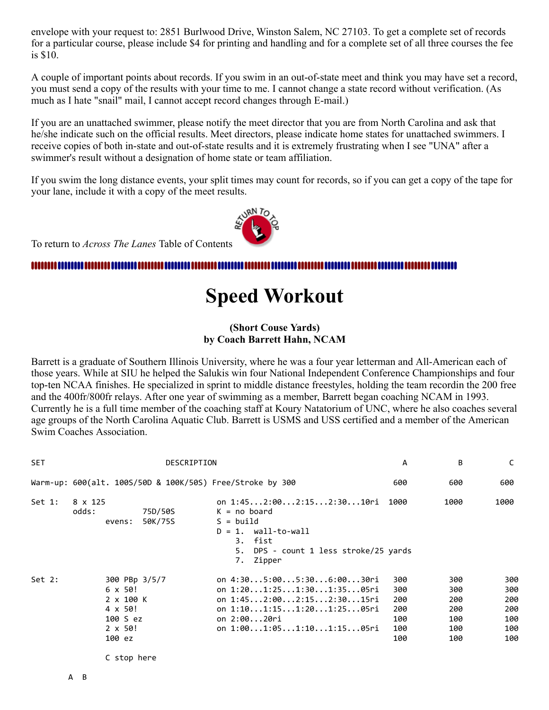envelope with your request to: 2851 Burlwood Drive, Winston Salem, NC 27103. To get a complete set of records for a particular course, please include \$4 for printing and handling and for a complete set of all three courses the fee is \$10.

A couple of important points about records. If you swim in an out-of-state meet and think you may have set a record, you must send a copy of the results with your time to me. I cannot change a state record without verification. (As much as I hate "snail" mail, I cannot accept record changes through E-mail.)

If you are an unattached swimmer, please notify the meet director that you are from North Carolina and ask that he/she indicate such on the official results. Meet directors, please indicate home states for unattached swimmers. I receive copies of both in-state and out-of-state results and it is extremely frustrating when I see "UNA" after a swimmer's result without a designation of home state or team affiliation.

If you swim the long distance events, your split times may count for records, so if you can get a copy of the tape for your lane, include it with a copy of the meet results.



To return to *Across The Lanes* Table of Contents

#### <span id="page-2-0"></span>

# **Speed Workout**

#### **(Short Couse Yards) by Coach Barrett Hahn, NCAM**

Barrett is a graduate of Southern Illinois University, where he was a four year letterman and All-American each of those years. While at SIU he helped the Salukis win four National Independent Conference Championships and four top-ten NCAA finishes. He specialized in sprint to middle distance freestyles, holding the team recordin the 200 free and the 400fr/800fr relays. After one year of swimming as a member, Barrett began coaching NCAM in 1993. Currently he is a full time member of the coaching staff at Koury Natatorium of UNC, where he also coaches several age groups of the North Carolina Aquatic Club. Barrett is USMS and USS certified and a member of the American Swim Coaches Association.

| <b>SET</b> | DESCRIPTION                                                                                                    |                                                                                                                                                                 | А                                             | В                                             | C                                             |
|------------|----------------------------------------------------------------------------------------------------------------|-----------------------------------------------------------------------------------------------------------------------------------------------------------------|-----------------------------------------------|-----------------------------------------------|-----------------------------------------------|
|            | Warm-up: 600(alt. 100S/50D & 100K/50S) Free/Stroke by 300                                                      |                                                                                                                                                                 | 600                                           | 600                                           | 600                                           |
| Set 1:     | 8 x 125<br>odds:<br>75D/50S<br>50K/75S<br>evens:                                                               | on 1:452:002:152:3010ri<br>$K = no board$<br>$S = \text{build}$<br>$D = 1.$ wall-to-wall<br>3. fist<br>DPS - count 1 less stroke/25 yards<br>5.<br>7.<br>Zipper | 1000                                          | 1000                                          | 1000                                          |
| Set 2:     | 300 PBp 3/5/7<br>$6 \times 50!$<br>2 x 100 K<br>4 x 50!<br>100 S ez<br>$2 \times 50!$<br>100 ez<br>C stop here | on 4:305:005:306:0030ri<br>on 1:201:251:301:3505ri<br>on 1:452:002:152:3015ri<br>on 1:101:151:201:2505ri<br>on 2:0020ri<br>on 1:001:051:101:1505ri              | 300<br>300<br>200<br>200<br>100<br>100<br>100 | 300<br>300<br>200<br>200<br>100<br>100<br>100 | 300<br>300<br>200<br>200<br>100<br>100<br>100 |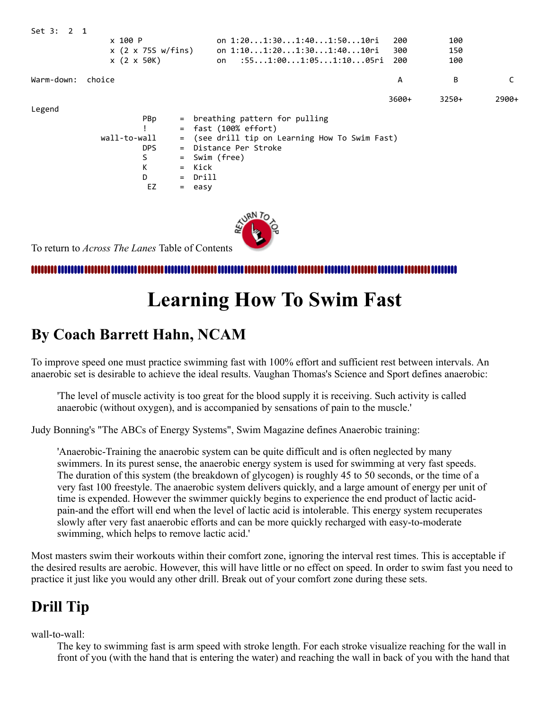| Set 3: 2 1 |                    |     |                                                |       |       |         |
|------------|--------------------|-----|------------------------------------------------|-------|-------|---------|
|            | x 100 P            |     | on 1:201:301:401:5010ri                        | 200   | 100   |         |
|            | x (2 x 75S w/fins) |     | on 1:101:201:301:4010ri                        | 300   | 150   |         |
|            | $x$ (2 $x$ 50K)    |     | $:551:001:051:1005$ ri<br>on                   | 200   | 100   |         |
| Warm-down: | choice             |     |                                                | A     | В     | C       |
|            |                    |     |                                                | 3600+ | 3250+ | $2900+$ |
| Legend     |                    |     |                                                |       |       |         |
|            | PBp                |     | = breathing pattern for pulling                |       |       |         |
|            |                    |     | $=$ fast (100% effort)                         |       |       |         |
|            | wall-to-wall       |     | = (see drill tip on Learning How To Swim Fast) |       |       |         |
|            | DPS.               |     | = Distance Per Stroke                          |       |       |         |
|            | S                  | $=$ | Swim (free)                                    |       |       |         |
|            | К                  | $=$ | Kick                                           |       |       |         |
|            | D                  |     | = Drill                                        |       |       |         |
|            | EZ                 |     | $=$ easy                                       |       |       |         |
|            |                    |     |                                                |       |       |         |
|            |                    |     | $\sqrt{R}N T_{O}$                              |       |       |         |



<span id="page-3-0"></span>To return to *Across The Lanes* Table of Contents

# **Learning How To Swim Fast**

### **By Coach Barrett Hahn, NCAM**

To improve speed one must practice swimming fast with 100% effort and sufficient rest between intervals. An anaerobic set is desirable to achieve the ideal results. Vaughan Thomas's Science and Sport defines anaerobic:

'The level of muscle activity is too great for the blood supply it is receiving. Such activity is called anaerobic (without oxygen), and is accompanied by sensations of pain to the muscle.'

Judy Bonning's "The ABCs of Energy Systems", Swim Magazine defines Anaerobic training:

'Anaerobic-Training the anaerobic system can be quite difficult and is often neglected by many swimmers. In its purest sense, the anaerobic energy system is used for swimming at very fast speeds. The duration of this system (the breakdown of glycogen) is roughly 45 to 50 seconds, or the time of a very fast 100 freestyle. The anaerobic system delivers quickly, and a large amount of energy per unit of time is expended. However the swimmer quickly begins to experience the end product of lactic acidpain-and the effort will end when the level of lactic acid is intolerable. This energy system recuperates slowly after very fast anaerobic efforts and can be more quickly recharged with easy-to-moderate swimming, which helps to remove lactic acid.'

Most masters swim their workouts within their comfort zone, ignoring the interval rest times. This is acceptable if the desired results are aerobic. However, this will have little or no effect on speed. In order to swim fast you need to practice it just like you would any other drill. Break out of your comfort zone during these sets.

## **Drill Tip**

wall-to-wall:

The key to swimming fast is arm speed with stroke length. For each stroke visualize reaching for the wall in front of you (with the hand that is entering the water) and reaching the wall in back of you with the hand that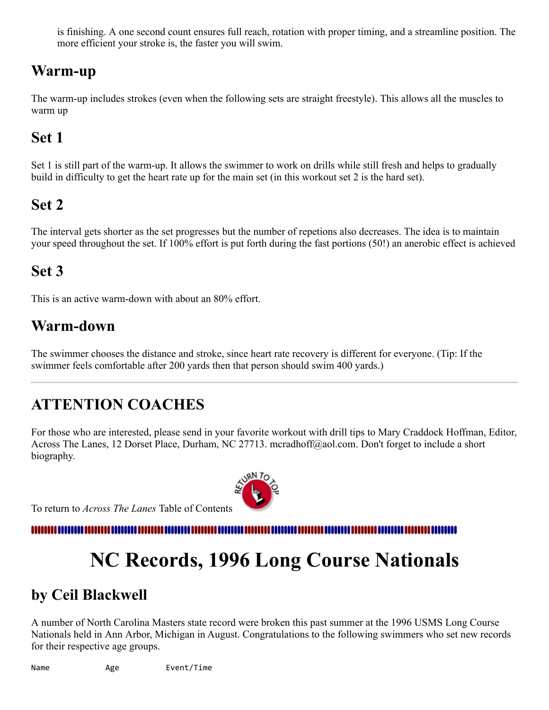is finishing. A one second count ensures full reach, rotation with proper timing, and a streamline position. The more efficient your stroke is, the faster you will swim.

## **Warm-up**

The warm-up includes strokes (even when the following sets are straight freestyle). This allows all the muscles to warm up

# **Set 1**

Set 1 is still part of the warm-up. It allows the swimmer to work on drills while still fresh and helps to gradually build in difficulty to get the heart rate up for the main set (in this workout set 2 is the hard set).

# **Set 2**

The interval gets shorter as the set progresses but the number of repetions also decreases. The idea is to maintain your speed throughout the set. If 100% effort is put forth during the fast portions (50!) an anerobic effect is achieved

# **Set 3**

This is an active warm-down with about an 80% effort.

# **Warm-down**

The swimmer chooses the distance and stroke, since heart rate recovery is different for everyone. (Tip: If the swimmer feels comfortable after 200 yards then that person should swim 400 yards.)

# **ATTENTION COACHES**

For those who are interested, please send in your favorite workout with drill tips to Mary Craddock Hoffman, Editor, Across The Lanes, 12 Dorset Place, Durham, NC 27713. mcradhoff@aol.com. Don't forget to include a short biography.

To return to *Across The Lanes* Table of Contents

<span id="page-4-0"></span>,,,,,,,,,,,,,,,,

# **NC Records, 1996 Long Course Nationals**

## **by Ceil Blackwell**

A number of North Carolina Masters state record were broken this past summer at the 1996 USMS Long Course Nationals held in Ann Arbor, Michigan in August. Congratulations to the following swimmers who set new records for their respective age groups.

Name Age Event/Time

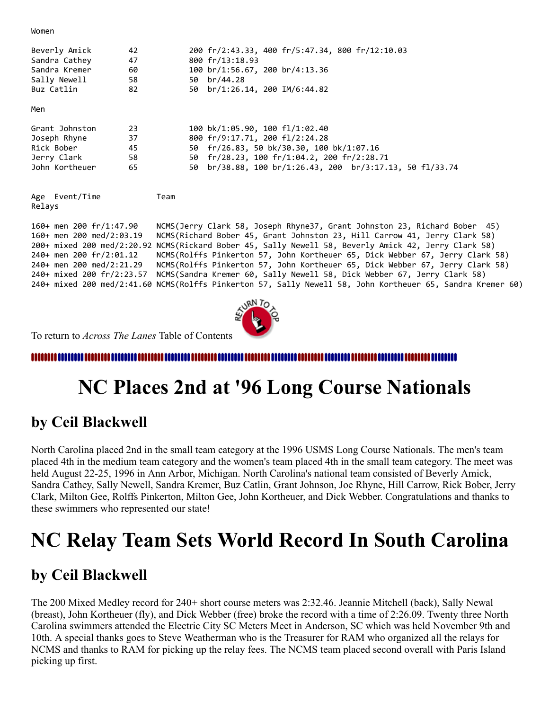Women

| Beverly Amick<br>Sandra Cathey<br>Sandra Kremer<br>Sally Newell<br>Buz Catlin                                                             | 42<br>47<br>60<br>58<br>82 | 50<br>50 | 200 fr/2:43.33, 400 fr/5:47.34, 800 fr/12:10.03<br>800 fr/13:18.93<br>100 br/1:56.67, 200 br/4:13.36<br>br/44.28<br>$br/1:26.14, 200$ IM/6:44.82                                                                                                                                                                                                                                                                                                                                                                                                                                                                        |
|-------------------------------------------------------------------------------------------------------------------------------------------|----------------------------|----------|-------------------------------------------------------------------------------------------------------------------------------------------------------------------------------------------------------------------------------------------------------------------------------------------------------------------------------------------------------------------------------------------------------------------------------------------------------------------------------------------------------------------------------------------------------------------------------------------------------------------------|
| Men                                                                                                                                       |                            |          |                                                                                                                                                                                                                                                                                                                                                                                                                                                                                                                                                                                                                         |
| Grant Johnston<br>Joseph Rhyne<br>Rick Bober<br>Jerry Clark<br>John Kortheuer                                                             | 23<br>37<br>45<br>58<br>65 | 50       | 100 bk/1:05.90, 100 fl/1:02.40<br>800 fr/9:17.71, 200 fl/2:24.28<br>50 fr/26.83, 50 bk/30.30, 100 bk/1:07.16<br>50 fr/28.23, 100 fr/1:04.2, 200 fr/2:28.71<br>$br/38.88$ , 100 $br/1:26.43$ , 200 $br/3:17.13$ , 50 fl/33.74                                                                                                                                                                                                                                                                                                                                                                                            |
| Age Event/Time<br>Relays                                                                                                                  | Team                       |          |                                                                                                                                                                                                                                                                                                                                                                                                                                                                                                                                                                                                                         |
| 160+ men 200 fr/1:47.90<br>$160+$ men 200 med/2:03.19<br>240+ men 200 fr/2:01.12<br>240+ men 200 med/2:21.29<br>240+ mixed 200 fr/2:23.57 |                            |          | NCMS(Jerry Clark 58, Joseph Rhyne37, Grant Johnston 23, Richard Bober 45)<br>NCMS(Richard Bober 45, Grant Johnston 23, Hill Carrow 41, Jerry Clark 58)<br>200+ mixed 200 med/2:20.92 NCMS(Rickard Bober 45, Sally Newell 58, Beverly Amick 42, Jerry Clark 58)<br>NCMS(Rolffs Pinkerton 57, John Kortheuer 65, Dick Webber 67, Jerry Clark 58)<br>NCMS(Rolffs Pinkerton 57, John Kortheuer 65, Dick Webber 67, Jerry Clark 58)<br>NCMS(Sandra Kremer 60, Sally Newell 58, Dick Webber 67, Jerry Clark 58)<br>240+ mixed 200 med/2:41.60 NCMS(Rolffs Pinkerton 57, Sally Newell 58, John Kortheuer 65, Sandra Kremer 60) |



To return to *Across The Lanes* Table of Contents

<span id="page-5-0"></span>,,,,,,,,,,,,,,

# **NC Places 2nd at '96 Long Course Nationals**

### **by Ceil Blackwell**

North Carolina placed 2nd in the small team category at the 1996 USMS Long Course Nationals. The men's team placed 4th in the medium team category and the women's team placed 4th in the small team category. The meet was held August 22-25, 1996 in Ann Arbor, Michigan. North Carolina's national team consisted of Beverly Amick, Sandra Cathey, Sally Newell, Sandra Kremer, Buz Catlin, Grant Johnson, Joe Rhyne, Hill Carrow, Rick Bober, Jerry Clark, Milton Gee, Rolffs Pinkerton, Milton Gee, John Kortheuer, and Dick Webber. Congratulations and thanks to these swimmers who represented our state!

# **NC Relay Team Sets World Record In South Carolina**

### **by Ceil Blackwell**

The 200 Mixed Medley record for 240+ short course meters was 2:32.46. Jeannie Mitchell (back), Sally Newal (breast), John Kortheuer (fly), and Dick Webber (free) broke the record with a time of 2:26.09. Twenty three North Carolina swimmers attended the Electric City SC Meters Meet in Anderson, SC which was held November 9th and 10th. A special thanks goes to Steve Weatherman who is the Treasurer for RAM who organized all the relays for NCMS and thanks to RAM for picking up the relay fees. The NCMS team placed second overall with Paris Island picking up first.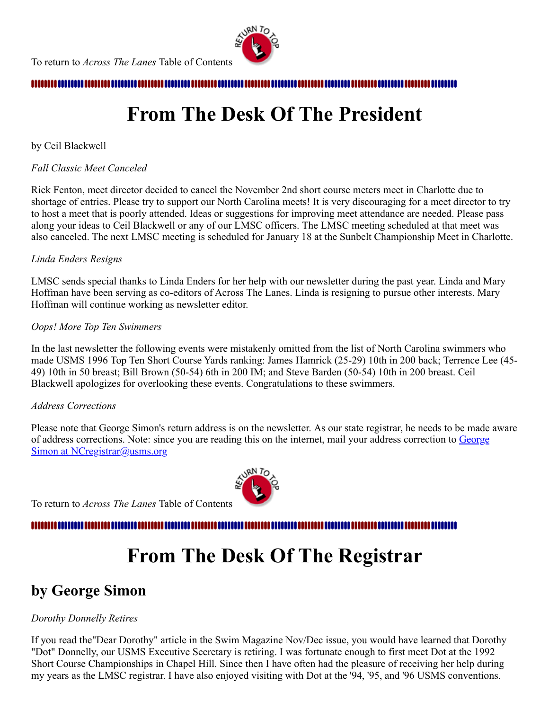

<span id="page-6-0"></span>

# **From The Desk Of The President**

### by Ceil Blackwell

### *Fall Classic Meet Canceled*

Rick Fenton, meet director decided to cancel the November 2nd short course meters meet in Charlotte due to shortage of entries. Please try to support our North Carolina meets! It is very discouraging for a meet director to try to host a meet that is poorly attended. Ideas or suggestions for improving meet attendance are needed. Please pass along your ideas to Ceil Blackwell or any of our LMSC officers. The LMSC meeting scheduled at that meet was also canceled. The next LMSC meeting is scheduled for January 18 at the Sunbelt Championship Meet in Charlotte.

#### *Linda Enders Resigns*

LMSC sends special thanks to Linda Enders for her help with our newsletter during the past year. Linda and Mary Hoffman have been serving as co-editors of Across The Lanes. Linda is resigning to pursue other interests. Mary Hoffman will continue working as newsletter editor.

#### *Oops! More Top Ten Swimmers*

In the last newsletter the following events were mistakenly omitted from the list of North Carolina swimmers who made USMS 1996 Top Ten Short Course Yards ranking: James Hamrick (25-29) 10th in 200 back; Terrence Lee (45- 49) 10th in 50 breast; Bill Brown (50-54) 6th in 200 IM; and Steve Barden (50-54) 10th in 200 breast. Ceil Blackwell apologizes for overlooking these events. Congratulations to these swimmers.

#### *Address Corrections*

Please note that George Simon's return address is on the newsletter. As our state registrar, he needs to be made aware [of address corrections. Note: since you are reading this on the internet, mail your address correction to George](mailto:NCregistrar@usms.org) Simon at NCregistrar@usms.org

<span id="page-6-1"></span>To return to *Across The Lanes* Table of Contents

# **From The Desk Of The Registrar**

## **by George Simon**

### *Dorothy Donnelly Retires*

If you read the"Dear Dorothy" article in the Swim Magazine Nov/Dec issue, you would have learned that Dorothy "Dot" Donnelly, our USMS Executive Secretary is retiring. I was fortunate enough to first meet Dot at the 1992 Short Course Championships in Chapel Hill. Since then I have often had the pleasure of receiving her help during my years as the LMSC registrar. I have also enjoyed visiting with Dot at the '94, '95, and '96 USMS conventions.